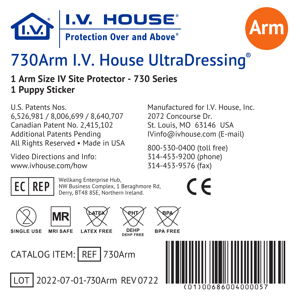



# 730Arm I.V. House UltraDressing®

**1 Arm Size IV Site Protector - 730 Series 1 Puppy Sticker**

U.S. Patents Nos. 6,526,981 / 8,006,699 / 8,640,707 Canadian Patent No. 2,415,102 Additional Patents Pending All Rights Reserved • Made in USA

Video Directions and Info: www.ivhouse.com/how

Manufactured for I.V. House, Inc. 2072 Concourse Dr. St. Louis, MO 63146 USA IVinfo@ivhouse.com (E-mail)

800-530-0400 (toll free) 314-453-9200 (phone) 314-453-9576 (fax)

**EC REP** Wellkang Enterprise Hub,<br>
NW Business Complex, 1 Beraghmore Rd, Derry, BT48 8SE, Northern Ireland.





**MRISAFF I ATFX FREE** 



LOT 2022-07-01-730Arm REV 0722



**RPA FREE**